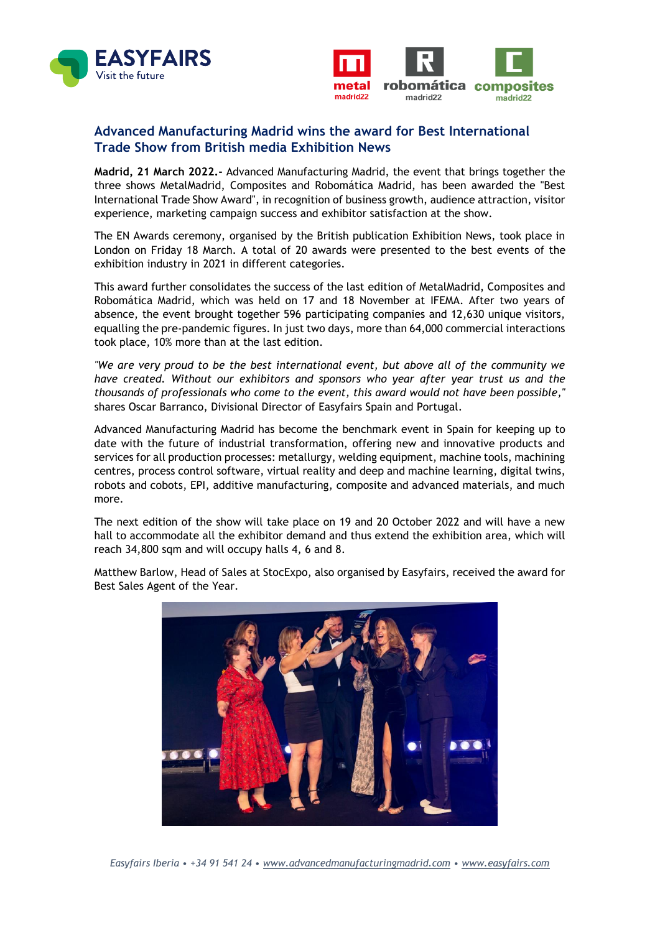



## **Advanced Manufacturing Madrid wins the award for Best International Trade Show from British media Exhibition News**

**Madrid, 21 March 2022.-** Advanced Manufacturing Madrid, the event that brings together the three shows MetalMadrid, Composites and Robomática Madrid, has been awarded the "Best International Trade Show Award", in recognition of business growth, audience attraction, visitor experience, marketing campaign success and exhibitor satisfaction at the show.

The EN Awards ceremony, organised by the British publication Exhibition News, took place in London on Friday 18 March. A total of 20 awards were presented to the best events of the exhibition industry in 2021 in different categories.

This award further consolidates the success of the last edition of MetalMadrid, Composites and Robomática Madrid, which was held on 17 and 18 November at IFEMA. After two years of absence, the event brought together 596 participating companies and 12,630 unique visitors, equalling the pre-pandemic figures. In just two days, more than 64,000 commercial interactions took place, 10% more than at the last edition.

*"We are very proud to be the best international event, but above all of the community we have created. Without our exhibitors and sponsors who year after year trust us and the thousands of professionals who come to the event, this award would not have been possible,"* shares Oscar Barranco, Divisional Director of Easyfairs Spain and Portugal.

Advanced Manufacturing Madrid has become the benchmark event in Spain for keeping up to date with the future of industrial transformation, offering new and innovative products and services for all production processes: metallurgy, welding equipment, machine tools, machining centres, process control software, virtual reality and deep and machine learning, digital twins, robots and cobots, EPI, additive manufacturing, composite and advanced materials, and much more.

The next edition of the show will take place on 19 and 20 October 2022 and will have a new hall to accommodate all the exhibitor demand and thus extend the exhibition area, which will reach 34,800 sqm and will occupy halls 4, 6 and 8.

Matthew Barlow, Head of Sales at StocExpo, also organised by Easyfairs, received the award for Best Sales Agent of the Year.